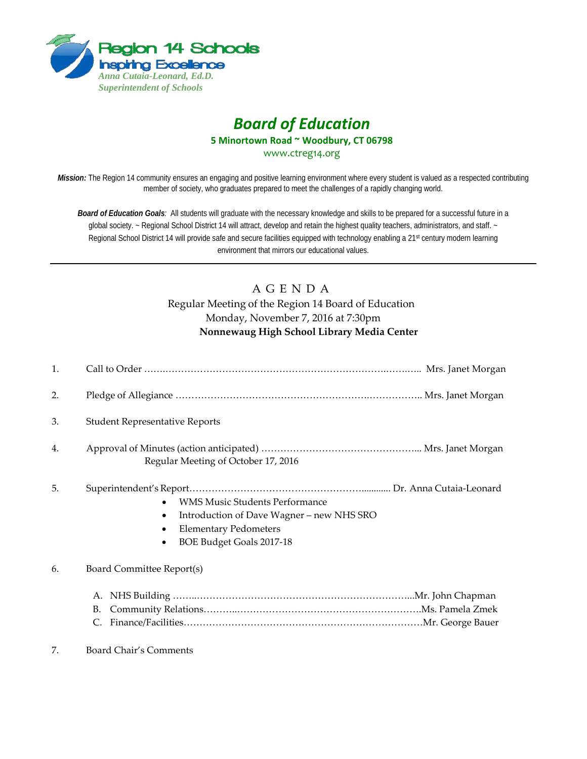

# *Board of Education* **5 Minortown Road ~ Woodbury, CT 06798**

[www.ctreg14.org](http://www.ctreg14.org/)

*Mission:* The Region 14 community ensures an engaging and positive learning environment where every student is valued as a respected contributing member of society, who graduates prepared to meet the challenges of a rapidly changing world.

*Board of Education Goals:* All students will graduate with the necessary knowledge and skills to be prepared for a successful future in a global society. ~ Regional School District 14 will attract, develop and retain the highest quality teachers, administrators, and staff. ~ Regional School District 14 will provide safe and secure facilities equipped with technology enabling a 21<sup>st</sup> century modern learning environment that mirrors our educational values.

# A G E N D A Regular Meeting of the Region 14 Board of Education Monday, November 7, 2016 at 7:30pm **Nonnewaug High School Library Media Center**

| 1. |                                                                                                                                                |  |
|----|------------------------------------------------------------------------------------------------------------------------------------------------|--|
| 2. |                                                                                                                                                |  |
| 3. | <b>Student Representative Reports</b>                                                                                                          |  |
| 4. | Regular Meeting of October 17, 2016                                                                                                            |  |
| 5. | <b>WMS Music Students Performance</b><br>Introduction of Dave Wagner - new NHS SRO<br><b>Elementary Pedometers</b><br>BOE Budget Goals 2017-18 |  |
| 6. | Board Committee Report(s)                                                                                                                      |  |
|    | А.<br>B.<br>C.                                                                                                                                 |  |
| 7. | Board Chair's Comments                                                                                                                         |  |